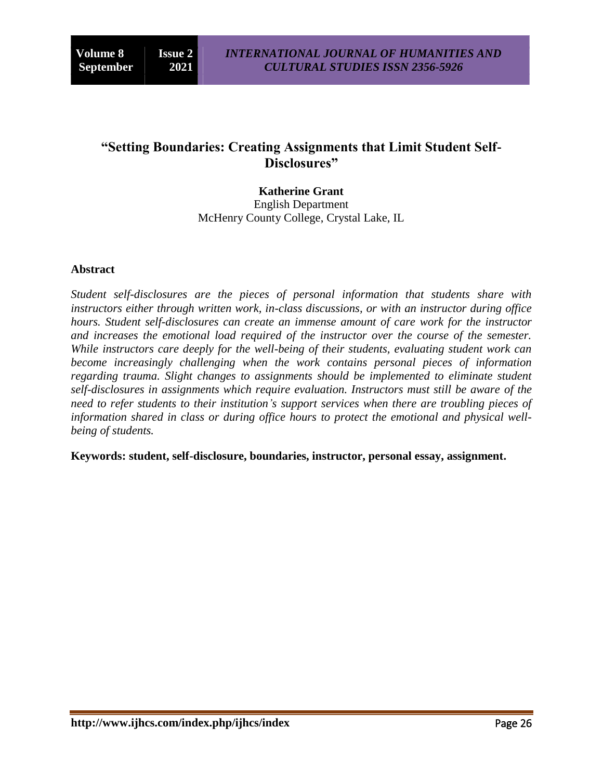## **"Setting Boundaries: Creating Assignments that Limit Student Self-Disclosures"**

**Katherine Grant** English Department McHenry County College, Crystal Lake, IL

## **Abstract**

*Student self-disclosures are the pieces of personal information that students share with instructors either through written work, in-class discussions, or with an instructor during office hours. Student self-disclosures can create an immense amount of care work for the instructor and increases the emotional load required of the instructor over the course of the semester. While instructors care deeply for the well-being of their students, evaluating student work can become increasingly challenging when the work contains personal pieces of information regarding trauma. Slight changes to assignments should be implemented to eliminate student self-disclosures in assignments which require evaluation. Instructors must still be aware of the need to refer students to their institution's support services when there are troubling pieces of information shared in class or during office hours to protect the emotional and physical wellbeing of students.*

**Keywords: student, self-disclosure, boundaries, instructor, personal essay, assignment.**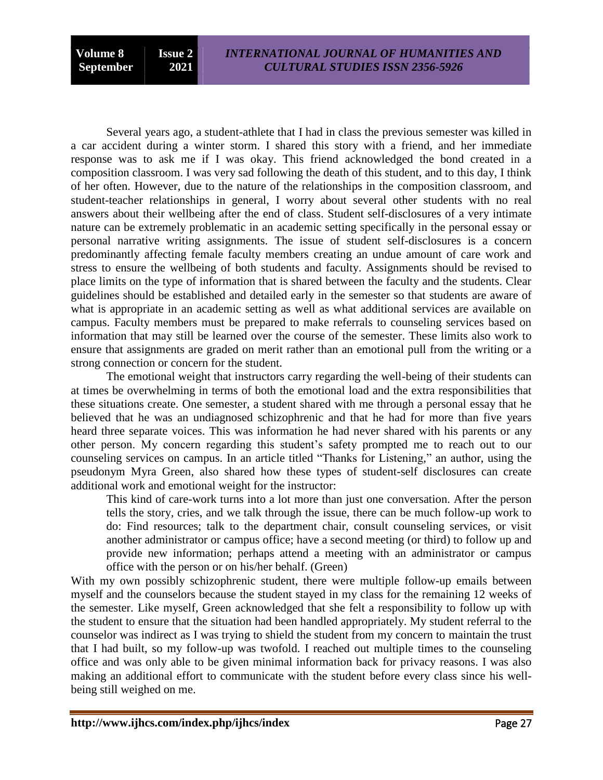Several years ago, a student-athlete that I had in class the previous semester was killed in a car accident during a winter storm. I shared this story with a friend, and her immediate response was to ask me if I was okay. This friend acknowledged the bond created in a composition classroom. I was very sad following the death of this student, and to this day, I think of her often. However, due to the nature of the relationships in the composition classroom, and student-teacher relationships in general, I worry about several other students with no real answers about their wellbeing after the end of class. Student self-disclosures of a very intimate nature can be extremely problematic in an academic setting specifically in the personal essay or personal narrative writing assignments. The issue of student self-disclosures is a concern predominantly affecting female faculty members creating an undue amount of care work and stress to ensure the wellbeing of both students and faculty. Assignments should be revised to place limits on the type of information that is shared between the faculty and the students. Clear guidelines should be established and detailed early in the semester so that students are aware of what is appropriate in an academic setting as well as what additional services are available on campus. Faculty members must be prepared to make referrals to counseling services based on information that may still be learned over the course of the semester. These limits also work to ensure that assignments are graded on merit rather than an emotional pull from the writing or a strong connection or concern for the student.

The emotional weight that instructors carry regarding the well-being of their students can at times be overwhelming in terms of both the emotional load and the extra responsibilities that these situations create. One semester, a student shared with me through a personal essay that he believed that he was an undiagnosed schizophrenic and that he had for more than five years heard three separate voices. This was information he had never shared with his parents or any other person. My concern regarding this student"s safety prompted me to reach out to our counseling services on campus. In an article titled "Thanks for Listening," an author, using the pseudonym Myra Green, also shared how these types of student-self disclosures can create additional work and emotional weight for the instructor:

This kind of care-work turns into a lot more than just one conversation. After the person tells the story, cries, and we talk through the issue, there can be much follow-up work to do: Find resources; talk to the department chair, consult counseling services, or visit another administrator or campus office; have a second meeting (or third) to follow up and provide new information; perhaps attend a meeting with an administrator or campus office with the person or on his/her behalf. (Green)

With my own possibly schizophrenic student, there were multiple follow-up emails between myself and the counselors because the student stayed in my class for the remaining 12 weeks of the semester. Like myself, Green acknowledged that she felt a responsibility to follow up with the student to ensure that the situation had been handled appropriately. My student referral to the counselor was indirect as I was trying to shield the student from my concern to maintain the trust that I had built, so my follow-up was twofold. I reached out multiple times to the counseling office and was only able to be given minimal information back for privacy reasons. I was also making an additional effort to communicate with the student before every class since his wellbeing still weighed on me.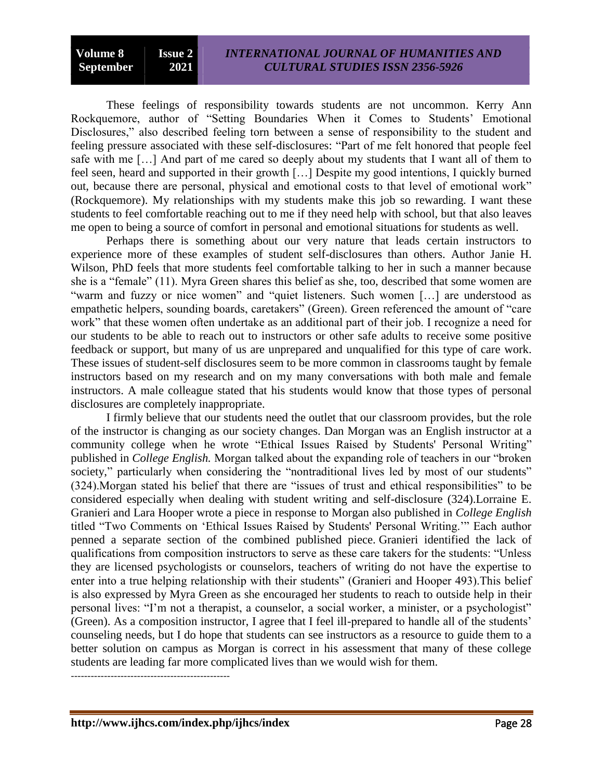These feelings of responsibility towards students are not uncommon. Kerry Ann Rockquemore, author of "Setting Boundaries When it Comes to Students' Emotional Disclosures," also described feeling torn between a sense of responsibility to the student and feeling pressure associated with these self-disclosures: "Part of me felt honored that people feel safe with me […] And part of me cared so deeply about my students that I want all of them to feel seen, heard and supported in their growth […] Despite my good intentions, I quickly burned out, because there are personal, physical and emotional costs to that level of emotional work" (Rockquemore). My relationships with my students make this job so rewarding. I want these students to feel comfortable reaching out to me if they need help with school, but that also leaves me open to being a source of comfort in personal and emotional situations for students as well.

Perhaps there is something about our very nature that leads certain instructors to experience more of these examples of student self-disclosures than others. Author Janie H. Wilson, PhD feels that more students feel comfortable talking to her in such a manner because she is a "female" (11). Myra Green shares this belief as she, too, described that some women are "warm and fuzzy or nice women" and "quiet listeners. Such women […] are understood as empathetic helpers, sounding boards, caretakers" (Green). Green referenced the amount of "care work" that these women often undertake as an additional part of their job. I recognize a need for our students to be able to reach out to instructors or other safe adults to receive some positive feedback or support, but many of us are unprepared and unqualified for this type of care work. These issues of student-self disclosures seem to be more common in classrooms taught by female instructors based on my research and on my many conversations with both male and female instructors. A male colleague stated that his students would know that those types of personal disclosures are completely inappropriate.

I firmly believe that our students need the outlet that our classroom provides, but the role of the instructor is changing as our society changes. Dan Morgan was an English instructor at a community college when he wrote "Ethical Issues Raised by Students' Personal Writing" published in *College English.* Morgan talked about the expanding role of teachers in our "broken society," particularly when considering the "nontraditional lives led by most of our students" (324).Morgan stated his belief that there are "issues of trust and ethical responsibilities" to be considered especially when dealing with student writing and self-disclosure (324).Lorraine E. Granieri and Lara Hooper wrote a piece in response to Morgan also published in *College English*  titled "Two Comments on "Ethical Issues Raised by Students' Personal Writing."" Each author penned a separate section of the combined published piece. Granieri identified the lack of qualifications from composition instructors to serve as these care takers for the students: "Unless they are licensed psychologists or counselors, teachers of writing do not have the expertise to enter into a true helping relationship with their students" (Granieri and Hooper 493).This belief is also expressed by Myra Green as she encouraged her students to reach to outside help in their personal lives: "I"m not a therapist, a counselor, a social worker, a minister, or a psychologist" (Green). As a composition instructor, I agree that I feel ill-prepared to handle all of the students" counseling needs, but I do hope that students can see instructors as a resource to guide them to a better solution on campus as Morgan is correct in his assessment that many of these college students are leading far more complicated lives than we would wish for them.

------------------------------------------------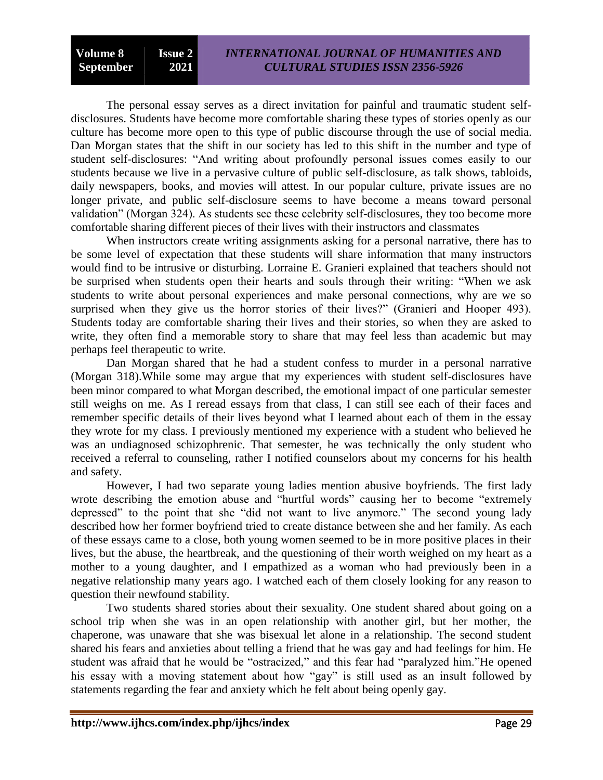The personal essay serves as a direct invitation for painful and traumatic student selfdisclosures. Students have become more comfortable sharing these types of stories openly as our culture has become more open to this type of public discourse through the use of social media. Dan Morgan states that the shift in our society has led to this shift in the number and type of student self-disclosures: "And writing about profoundly personal issues comes easily to our students because we live in a pervasive culture of public self-disclosure, as talk shows, tabloids, daily newspapers, books, and movies will attest. In our popular culture, private issues are no longer private, and public self-disclosure seems to have become a means toward personal validation" (Morgan 324). As students see these celebrity self-disclosures, they too become more comfortable sharing different pieces of their lives with their instructors and classmates

When instructors create writing assignments asking for a personal narrative, there has to be some level of expectation that these students will share information that many instructors would find to be intrusive or disturbing. Lorraine E. Granieri explained that teachers should not be surprised when students open their hearts and souls through their writing: "When we ask students to write about personal experiences and make personal connections, why are we so surprised when they give us the horror stories of their lives?" (Granieri and Hooper 493). Students today are comfortable sharing their lives and their stories, so when they are asked to write, they often find a memorable story to share that may feel less than academic but may perhaps feel therapeutic to write.

Dan Morgan shared that he had a student confess to murder in a personal narrative (Morgan 318).While some may argue that my experiences with student self-disclosures have been minor compared to what Morgan described, the emotional impact of one particular semester still weighs on me. As I reread essays from that class, I can still see each of their faces and remember specific details of their lives beyond what I learned about each of them in the essay they wrote for my class. I previously mentioned my experience with a student who believed he was an undiagnosed schizophrenic. That semester, he was technically the only student who received a referral to counseling, rather I notified counselors about my concerns for his health and safety.

However, I had two separate young ladies mention abusive boyfriends. The first lady wrote describing the emotion abuse and "hurtful words" causing her to become "extremely depressed" to the point that she "did not want to live anymore." The second young lady described how her former boyfriend tried to create distance between she and her family. As each of these essays came to a close, both young women seemed to be in more positive places in their lives, but the abuse, the heartbreak, and the questioning of their worth weighed on my heart as a mother to a young daughter, and I empathized as a woman who had previously been in a negative relationship many years ago. I watched each of them closely looking for any reason to question their newfound stability.

Two students shared stories about their sexuality. One student shared about going on a school trip when she was in an open relationship with another girl, but her mother, the chaperone, was unaware that she was bisexual let alone in a relationship. The second student shared his fears and anxieties about telling a friend that he was gay and had feelings for him. He student was afraid that he would be "ostracized," and this fear had "paralyzed him."He opened his essay with a moving statement about how "gay" is still used as an insult followed by statements regarding the fear and anxiety which he felt about being openly gay.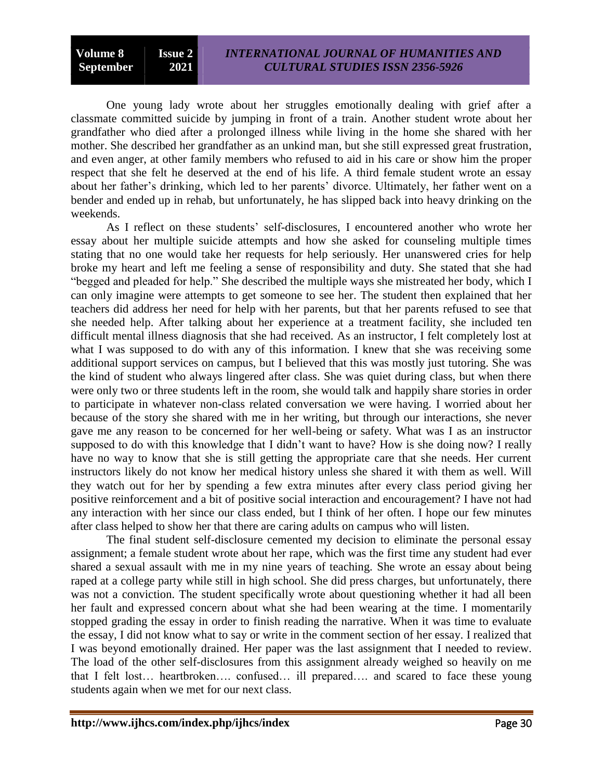One young lady wrote about her struggles emotionally dealing with grief after a classmate committed suicide by jumping in front of a train. Another student wrote about her grandfather who died after a prolonged illness while living in the home she shared with her mother. She described her grandfather as an unkind man, but she still expressed great frustration, and even anger, at other family members who refused to aid in his care or show him the proper respect that she felt he deserved at the end of his life. A third female student wrote an essay about her father's drinking, which led to her parents' divorce. Ultimately, her father went on a bender and ended up in rehab, but unfortunately, he has slipped back into heavy drinking on the weekends.

As I reflect on these students' self-disclosures, I encountered another who wrote her essay about her multiple suicide attempts and how she asked for counseling multiple times stating that no one would take her requests for help seriously. Her unanswered cries for help broke my heart and left me feeling a sense of responsibility and duty. She stated that she had "begged and pleaded for help." She described the multiple ways she mistreated her body, which I can only imagine were attempts to get someone to see her. The student then explained that her teachers did address her need for help with her parents, but that her parents refused to see that she needed help. After talking about her experience at a treatment facility, she included ten difficult mental illness diagnosis that she had received. As an instructor, I felt completely lost at what I was supposed to do with any of this information. I knew that she was receiving some additional support services on campus, but I believed that this was mostly just tutoring. She was the kind of student who always lingered after class. She was quiet during class, but when there were only two or three students left in the room, she would talk and happily share stories in order to participate in whatever non-class related conversation we were having. I worried about her because of the story she shared with me in her writing, but through our interactions, she never gave me any reason to be concerned for her well-being or safety. What was I as an instructor supposed to do with this knowledge that I didn"t want to have? How is she doing now? I really have no way to know that she is still getting the appropriate care that she needs. Her current instructors likely do not know her medical history unless she shared it with them as well. Will they watch out for her by spending a few extra minutes after every class period giving her positive reinforcement and a bit of positive social interaction and encouragement? I have not had any interaction with her since our class ended, but I think of her often. I hope our few minutes after class helped to show her that there are caring adults on campus who will listen.

The final student self-disclosure cemented my decision to eliminate the personal essay assignment; a female student wrote about her rape, which was the first time any student had ever shared a sexual assault with me in my nine years of teaching. She wrote an essay about being raped at a college party while still in high school. She did press charges, but unfortunately, there was not a conviction. The student specifically wrote about questioning whether it had all been her fault and expressed concern about what she had been wearing at the time. I momentarily stopped grading the essay in order to finish reading the narrative. When it was time to evaluate the essay, I did not know what to say or write in the comment section of her essay. I realized that I was beyond emotionally drained. Her paper was the last assignment that I needed to review. The load of the other self-disclosures from this assignment already weighed so heavily on me that I felt lost… heartbroken…. confused… ill prepared…. and scared to face these young students again when we met for our next class.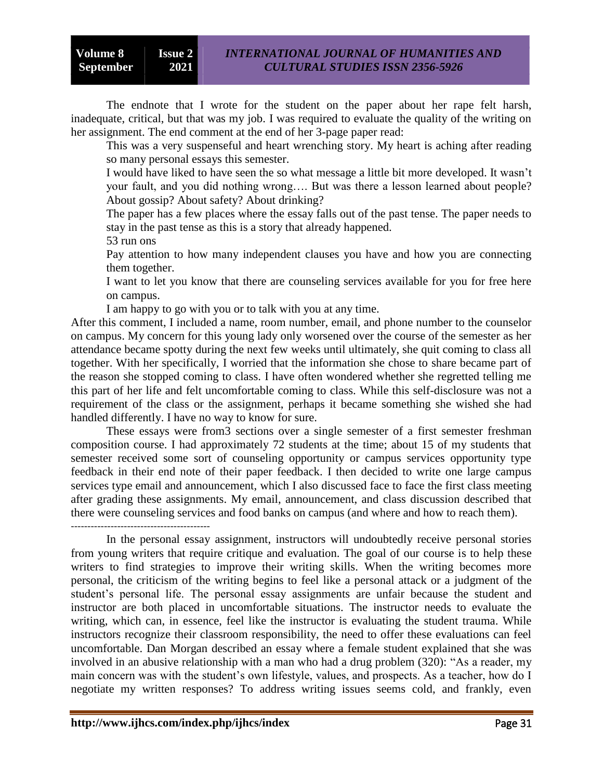The endnote that I wrote for the student on the paper about her rape felt harsh, inadequate, critical, but that was my job. I was required to evaluate the quality of the writing on her assignment. The end comment at the end of her 3-page paper read:

This was a very suspenseful and heart wrenching story. My heart is aching after reading so many personal essays this semester.

I would have liked to have seen the so what message a little bit more developed. It wasn"t your fault, and you did nothing wrong…. But was there a lesson learned about people? About gossip? About safety? About drinking?

The paper has a few places where the essay falls out of the past tense. The paper needs to stay in the past tense as this is a story that already happened.

53 run ons

Pay attention to how many independent clauses you have and how you are connecting them together.

I want to let you know that there are counseling services available for you for free here on campus.

I am happy to go with you or to talk with you at any time.

After this comment, I included a name, room number, email, and phone number to the counselor on campus. My concern for this young lady only worsened over the course of the semester as her attendance became spotty during the next few weeks until ultimately, she quit coming to class all together. With her specifically, I worried that the information she chose to share became part of the reason she stopped coming to class. I have often wondered whether she regretted telling me this part of her life and felt uncomfortable coming to class. While this self-disclosure was not a requirement of the class or the assignment, perhaps it became something she wished she had handled differently. I have no way to know for sure.

These essays were from3 sections over a single semester of a first semester freshman composition course. I had approximately 72 students at the time; about 15 of my students that semester received some sort of counseling opportunity or campus services opportunity type feedback in their end note of their paper feedback. I then decided to write one large campus services type email and announcement, which I also discussed face to face the first class meeting after grading these assignments. My email, announcement, and class discussion described that there were counseling services and food banks on campus (and where and how to reach them).

------------------------------------------

In the personal essay assignment, instructors will undoubtedly receive personal stories from young writers that require critique and evaluation. The goal of our course is to help these writers to find strategies to improve their writing skills. When the writing becomes more personal, the criticism of the writing begins to feel like a personal attack or a judgment of the student"s personal life. The personal essay assignments are unfair because the student and instructor are both placed in uncomfortable situations. The instructor needs to evaluate the writing, which can, in essence, feel like the instructor is evaluating the student trauma. While instructors recognize their classroom responsibility, the need to offer these evaluations can feel uncomfortable. Dan Morgan described an essay where a female student explained that she was involved in an abusive relationship with a man who had a drug problem (320): "As a reader, my main concern was with the student's own lifestyle, values, and prospects. As a teacher, how do I negotiate my written responses? To address writing issues seems cold, and frankly, even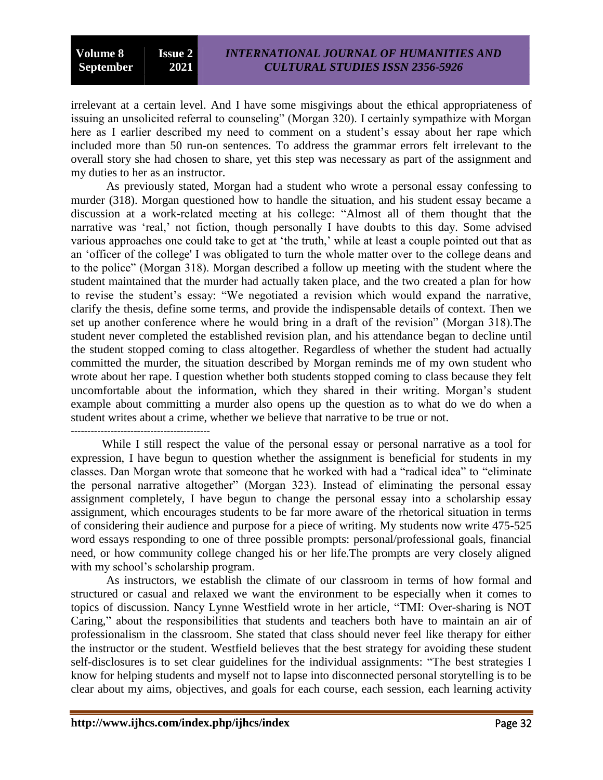irrelevant at a certain level. And I have some misgivings about the ethical appropriateness of issuing an unsolicited referral to counseling" (Morgan 320). I certainly sympathize with Morgan here as I earlier described my need to comment on a student's essay about her rape which included more than 50 run-on sentences. To address the grammar errors felt irrelevant to the overall story she had chosen to share, yet this step was necessary as part of the assignment and my duties to her as an instructor.

As previously stated, Morgan had a student who wrote a personal essay confessing to murder (318). Morgan questioned how to handle the situation, and his student essay became a discussion at a work-related meeting at his college: "Almost all of them thought that the narrative was 'real,' not fiction, though personally I have doubts to this day. Some advised various approaches one could take to get at 'the truth,' while at least a couple pointed out that as an "officer of the college' I was obligated to turn the whole matter over to the college deans and to the police" (Morgan 318). Morgan described a follow up meeting with the student where the student maintained that the murder had actually taken place, and the two created a plan for how to revise the student"s essay: "We negotiated a revision which would expand the narrative, clarify the thesis, define some terms, and provide the indispensable details of context. Then we set up another conference where he would bring in a draft of the revision" (Morgan 318).The student never completed the established revision plan, and his attendance began to decline until the student stopped coming to class altogether. Regardless of whether the student had actually committed the murder, the situation described by Morgan reminds me of my own student who wrote about her rape. I question whether both students stopped coming to class because they felt uncomfortable about the information, which they shared in their writing. Morgan"s student example about committing a murder also opens up the question as to what do we do when a student writes about a crime, whether we believe that narrative to be true or not.

------------------------------------------

While I still respect the value of the personal essay or personal narrative as a tool for expression, I have begun to question whether the assignment is beneficial for students in my classes. Dan Morgan wrote that someone that he worked with had a "radical idea" to "eliminate the personal narrative altogether" (Morgan 323). Instead of eliminating the personal essay assignment completely, I have begun to change the personal essay into a scholarship essay assignment, which encourages students to be far more aware of the rhetorical situation in terms of considering their audience and purpose for a piece of writing. My students now write 475-525 word essays responding to one of three possible prompts: personal/professional goals, financial need, or how community college changed his or her life.The prompts are very closely aligned with my school's scholarship program.

As instructors, we establish the climate of our classroom in terms of how formal and structured or casual and relaxed we want the environment to be especially when it comes to topics of discussion. Nancy Lynne Westfield wrote in her article, "TMI: Over-sharing is NOT Caring," about the responsibilities that students and teachers both have to maintain an air of professionalism in the classroom. She stated that class should never feel like therapy for either the instructor or the student. Westfield believes that the best strategy for avoiding these student self-disclosures is to set clear guidelines for the individual assignments: "The best strategies I know for helping students and myself not to lapse into disconnected personal storytelling is to be clear about my aims, objectives, and goals for each course, each session, each learning activity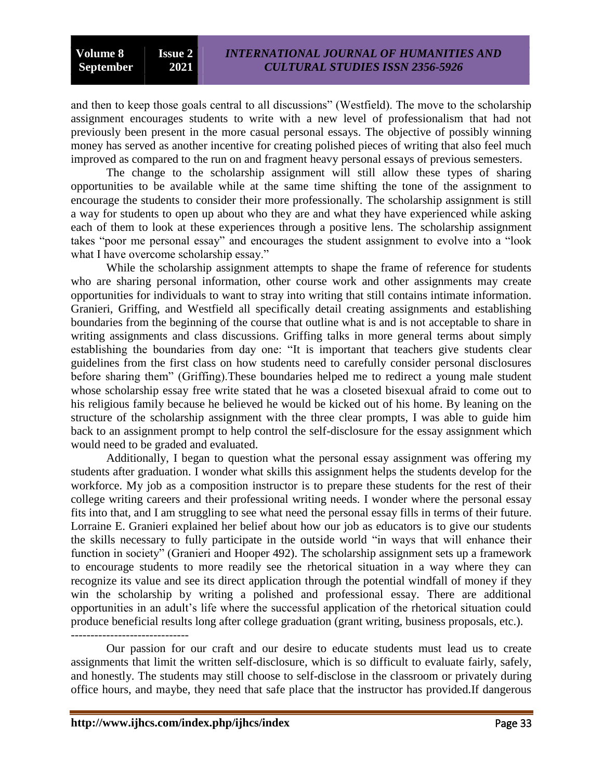and then to keep those goals central to all discussions" (Westfield). The move to the scholarship assignment encourages students to write with a new level of professionalism that had not previously been present in the more casual personal essays. The objective of possibly winning money has served as another incentive for creating polished pieces of writing that also feel much improved as compared to the run on and fragment heavy personal essays of previous semesters.

The change to the scholarship assignment will still allow these types of sharing opportunities to be available while at the same time shifting the tone of the assignment to encourage the students to consider their more professionally. The scholarship assignment is still a way for students to open up about who they are and what they have experienced while asking each of them to look at these experiences through a positive lens. The scholarship assignment takes "poor me personal essay" and encourages the student assignment to evolve into a "look what I have overcome scholarship essay."

While the scholarship assignment attempts to shape the frame of reference for students who are sharing personal information, other course work and other assignments may create opportunities for individuals to want to stray into writing that still contains intimate information. Granieri, Griffing, and Westfield all specifically detail creating assignments and establishing boundaries from the beginning of the course that outline what is and is not acceptable to share in writing assignments and class discussions. Griffing talks in more general terms about simply establishing the boundaries from day one: "It is important that teachers give students clear guidelines from the first class on how students need to carefully consider personal disclosures before sharing them" (Griffing).These boundaries helped me to redirect a young male student whose scholarship essay free write stated that he was a closeted bisexual afraid to come out to his religious family because he believed he would be kicked out of his home. By leaning on the structure of the scholarship assignment with the three clear prompts, I was able to guide him back to an assignment prompt to help control the self-disclosure for the essay assignment which would need to be graded and evaluated.

Additionally, I began to question what the personal essay assignment was offering my students after graduation. I wonder what skills this assignment helps the students develop for the workforce. My job as a composition instructor is to prepare these students for the rest of their college writing careers and their professional writing needs. I wonder where the personal essay fits into that, and I am struggling to see what need the personal essay fills in terms of their future. Lorraine E. Granieri explained her belief about how our job as educators is to give our students the skills necessary to fully participate in the outside world "in ways that will enhance their function in society" (Granieri and Hooper 492). The scholarship assignment sets up a framework to encourage students to more readily see the rhetorical situation in a way where they can recognize its value and see its direct application through the potential windfall of money if they win the scholarship by writing a polished and professional essay. There are additional opportunities in an adult"s life where the successful application of the rhetorical situation could produce beneficial results long after college graduation (grant writing, business proposals, etc.). ------------------------------

Our passion for our craft and our desire to educate students must lead us to create assignments that limit the written self-disclosure, which is so difficult to evaluate fairly, safely, and honestly. The students may still choose to self-disclose in the classroom or privately during office hours, and maybe, they need that safe place that the instructor has provided.If dangerous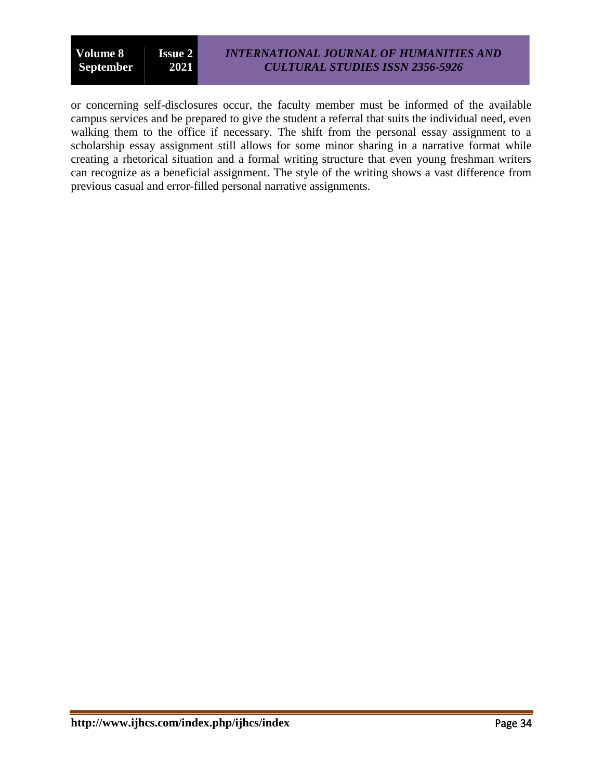or concerning self-disclosures occur, the faculty member must be informed of the available campus services and be prepared to give the student a referral that suits the individual need, even walking them to the office if necessary. The shift from the personal essay assignment to a scholarship essay assignment still allows for some minor sharing in a narrative format while creating a rhetorical situation and a formal writing structure that even young freshman writers can recognize as a beneficial assignment. The style of the writing shows a vast difference from previous casual and error-filled personal narrative assignments.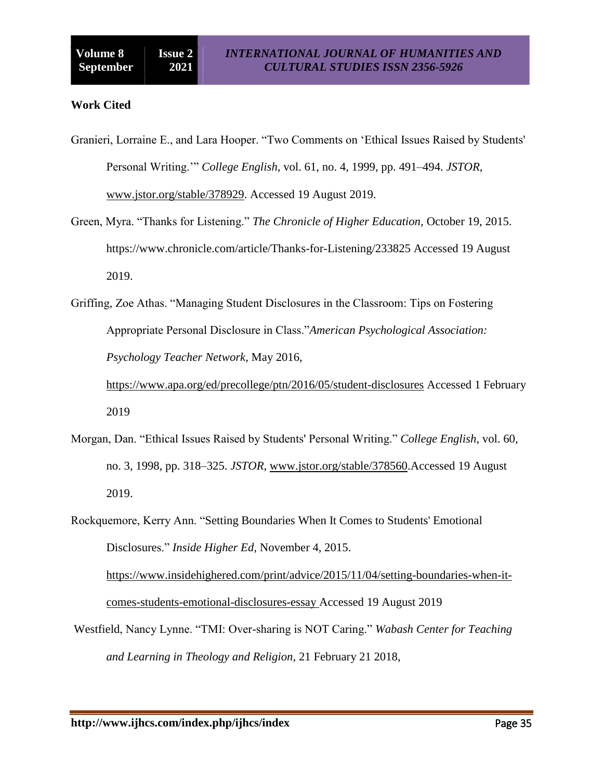## **Work Cited**

Granieri, Lorraine E., and Lara Hooper. "Two Comments on "Ethical Issues Raised by Students' Personal Writing."" *College English*, vol. 61, no. 4, 1999, pp. 491–494. *JSTOR*, [www.jstor.org/stable/378929.](http://www.jstor.org/stable/378929) Accessed 19 August 2019.

- Green, Myra. "Thanks for Listening." *The Chronicle of Higher Education,* October 19, 2015. https://www.chronicle.com/article/Thanks-for-Listening/233825 Accessed 19 August 2019.
- Griffing, Zoe Athas. "Managing Student Disclosures in the Classroom: Tips on Fostering Appropriate Personal Disclosure in Class."*American Psychological Association: Psychology Teacher Network,* May 2016, <https://www.apa.org/ed/precollege/ptn/2016/05/student-disclosures> Accessed 1 February

2019

- Morgan, Dan. "Ethical Issues Raised by Students' Personal Writing." *College English*, vol. 60, no. 3, 1998, pp. 318–325. *JSTOR*, [www.jstor.org/stable/378560.](http://www.jstor.org/stable/378560)Accessed 19 August 2019.
- Rockquemore, Kerry Ann. "Setting Boundaries When It Comes to Students' Emotional Disclosures." *Inside Higher Ed,* November 4, 2015.

[https://www.insidehighered.com/print/advice/2015/11/04/setting-boundaries-when-it](https://www.insidehighered.com/print/advice/2015/11/04/setting-boundaries-when-it-comes-students-emotional-disclosures-essay%20Accessed%2019%20August%202019)[comes-students-emotional-disclosures-essay Accessed 19 August 2019](https://www.insidehighered.com/print/advice/2015/11/04/setting-boundaries-when-it-comes-students-emotional-disclosures-essay%20Accessed%2019%20August%202019)

[Westfield,](https://www.wabashcenter.wabash.edu/author/nancy-lynn-westfield/) Nancy Lynne. "TMI: Over-sharing is NOT Caring." *Wabash Center for Teaching and Learning in Theology and Religion*, 21 February 21 2018,